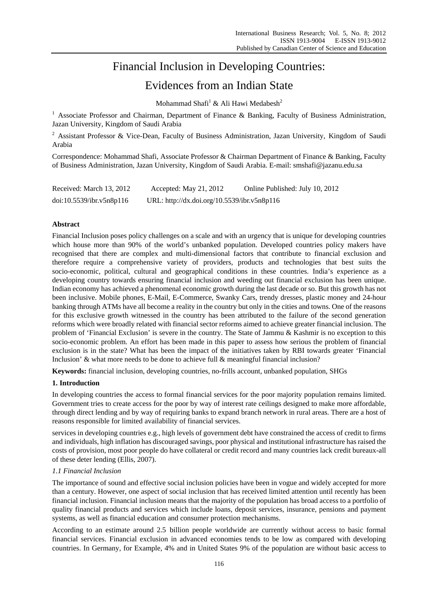# Financial Inclusion in Developing Countries:

# Evidences from an Indian State

Mohammad Shafi<sup>1</sup> & Ali Hawi Medabesh<sup>2</sup>

<sup>1</sup> Associate Professor and Chairman, Department of Finance & Banking, Faculty of Business Administration, Jazan University, Kingdom of Saudi Arabia

<sup>2</sup> Assistant Professor & Vice-Dean, Faculty of Business Administration, Jazan University, Kingdom of Saudi Arabia

Correspondence: Mohammad Shafi, Associate Professor & Chairman Department of Finance & Banking, Faculty of Business Administration, Jazan University, Kingdom of Saudi Arabia. E-mail: smshafi@jazanu.edu.sa

| Received: March 13, 2012 | Accepted: May 21, 2012                      | Online Published: July 10, 2012 |
|--------------------------|---------------------------------------------|---------------------------------|
| doi:10.5539/ibr.v5n8p116 | URL: http://dx.doi.org/10.5539/ibr.v5n8p116 |                                 |

# **Abstract**

Financial Inclusion poses policy challenges on a scale and with an urgency that is unique for developing countries which house more than 90% of the world's unbanked population. Developed countries policy makers have recognised that there are complex and multi-dimensional factors that contribute to financial exclusion and therefore require a comprehensive variety of providers, products and technologies that best suits the socio-economic, political, cultural and geographical conditions in these countries. India's experience as a developing country towards ensuring financial inclusion and weeding out financial exclusion has been unique. Indian economy has achieved a phenomenal economic growth during the last decade or so. But this growth has not been inclusive. Mobile phones, E-Mail, E-Commerce, Swanky Cars, trendy dresses, plastic money and 24-hour banking through ATMs have all become a reality in the country but only in the cities and towns. One of the reasons for this exclusive growth witnessed in the country has been attributed to the failure of the second generation reforms which were broadly related with financial sector reforms aimed to achieve greater financial inclusion. The problem of 'Financial Exclusion' is severe in the country. The State of Jammu & Kashmir is no exception to this socio-economic problem. An effort has been made in this paper to assess how serious the problem of financial exclusion is in the state? What has been the impact of the initiatives taken by RBI towards greater 'Financial Inclusion' & what more needs to be done to achieve full  $\&$  meaningful financial inclusion?

**Keywords:** financial inclusion, developing countries, no-frills account, unbanked population, SHGs

# **1. Introduction**

In developing countries the access to formal financial services for the poor majority population remains limited. Government tries to create access for the poor by way of interest rate ceilings designed to make more affordable, through direct lending and by way of requiring banks to expand branch network in rural areas. There are a host of reasons responsible for limited availability of financial services.

services in developing countries e.g., high levels of government debt have constrained the access of credit to firms and individuals, high inflation has discouraged savings, poor physical and institutional infrastructure has raised the costs of provision, most poor people do have collateral or credit record and many countries lack credit bureaux-all of these deter lending (Ellis, 2007).

# *1.1 Financial Inclusion*

The importance of sound and effective social inclusion policies have been in vogue and widely accepted for more than a century. However, one aspect of social inclusion that has received limited attention until recently has been financial inclusion. Financial inclusion means that the majority of the population has broad access to a portfolio of quality financial products and services which include loans, deposit services, insurance, pensions and payment systems, as well as financial education and consumer protection mechanisms.

According to an estimate around 2.5 billion people worldwide are currently without access to basic formal financial services. Financial exclusion in advanced economies tends to be low as compared with developing countries. In Germany, for Example, 4% and in United States 9% of the population are without basic access to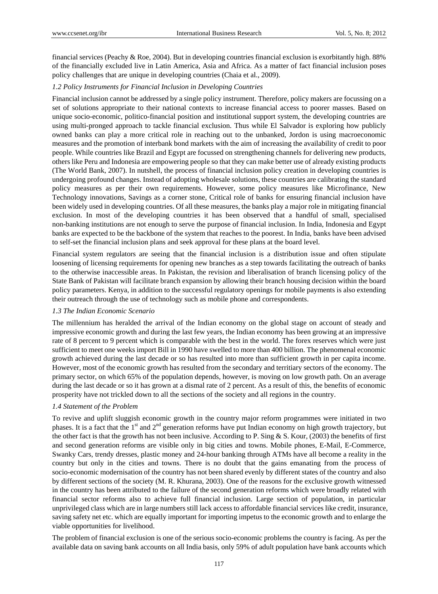financial services (Peachy & Roe, 2004). But in developing countries financial exclusion is exorbitantly high. 88% of the financially excluded live in Latin America, Asia and Africa. As a matter of fact financial inclusion poses policy challenges that are unique in developing countries (Chaia et al., 2009).

## *1.2 Policy Instruments for Financial Inclusion in Developing Countries*

Financial inclusion cannot be addressed by a single policy instrument. Therefore, policy makers are focussing on a set of solutions appropriate to their national contexts to increase financial access to poorer masses. Based on unique socio-economic, politico-financial position and institutional support system, the developing countries are using multi-pronged approach to tackle financial exclusion. Thus while El Salvador is exploring how publicly owned banks can play a more critical role in reaching out to the unbanked, Jordon is using macroeconomic measures and the promotion of interbank bond markets with the aim of increasing the availability of credit to poor people. While countries like Brazil and Egypt are focussed on strengthening channels for delivering new products, others like Peru and Indonesia are empowering people so that they can make better use of already existing products (The World Bank, 2007). In nutshell, the process of financial inclusion policy creation in developing countries is undergoing profound changes. Instead of adopting wholesale solutions, these countries are calibrating the standard policy measures as per their own requirements. However, some policy measures like Microfinance, New Technology innovations, Savings as a corner stone, Critical role of banks for ensuring financial inclusion have been widely used in developing countries. Of all these measures, the banks play a major role in mitigating financial exclusion. In most of the developing countries it has been observed that a handful of small, specialised non-banking institutions are not enough to serve the purpose of financial inclusion. In India, Indonesia and Egypt banks are expected to be the backbone of the system that reaches to the poorest. In India, banks have been advised to self-set the financial inclusion plans and seek approval for these plans at the board level.

Financial system regulators are seeing that the financial inclusion is a distribution issue and often stipulate loosening of licensing requirements for opening new branches as a step towards facilitating the outreach of banks to the otherwise inaccessible areas. In Pakistan, the revision and liberalisation of branch licensing policy of the State Bank of Pakistan will facilitate branch expansion by allowing their branch housing decision within the board policy parameters. Kenya, in addition to the successful regulatory openings for mobile payments is also extending their outreach through the use of technology such as mobile phone and correspondents.

## *1.3 The Indian Economic Scenario*

The millennium has heralded the arrival of the Indian economy on the global stage on account of steady and impressive economic growth and during the last few years, the Indian economy has been growing at an impressive rate of 8 percent to 9 percent which is comparable with the best in the world. The forex reserves which were just sufficient to meet one weeks import Bill in 1990 have swelled to more than 400 billion. The phenomenal economic growth achieved during the last decade or so has resulted into more than sufficient growth in per capita income. However, most of the economic growth has resulted from the secondary and territiary sectors of the economy. The primary sector, on which 65% of the population depends, however, is moving on low growth path. On an average during the last decade or so it has grown at a dismal rate of 2 percent. As a result of this, the benefits of economic prosperity have not trickled down to all the sections of the society and all regions in the country.

# *1.4 Statement of the Problem*

To revive and uplift sluggish economic growth in the country major reform programmes were initiated in two phases. It is a fact that the  $1<sup>st</sup>$  and  $2<sup>nd</sup>$  generation reforms have put Indian economy on high growth trajectory, but the other fact is that the growth has not been inclusive. According to P. Sing & S. Kour, (2003) the benefits of first and second generation reforms are visible only in big cities and towns. Mobile phones, E-Mail, E-Commerce, Swanky Cars, trendy dresses, plastic money and 24-hour banking through ATMs have all become a reality in the country but only in the cities and towns. There is no doubt that the gains emanating from the process of socio-economic modernisation of the country has not been shared evenly by different states of the country and also by different sections of the society (M. R. Khurana, 2003). One of the reasons for the exclusive growth witnessed in the country has been attributed to the failure of the second generation reforms which were broadly related with financial sector reforms also to achieve full financial inclusion. Large section of population, in particular unprivileged class which are in large numbers still lack access to affordable financial services like credit, insurance, saving safety net etc. which are equally important for importing impetus to the economic growth and to enlarge the viable opportunities for livelihood.

The problem of financial exclusion is one of the serious socio-economic problems the country is facing. As per the available data on saving bank accounts on all India basis, only 59% of adult population have bank accounts which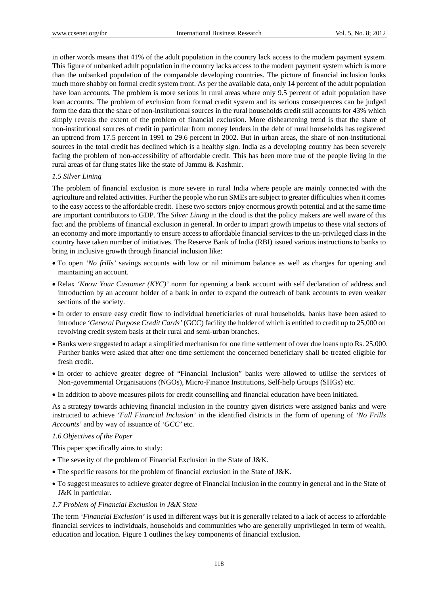in other words means that 41% of the adult population in the country lack access to the modern payment system. This figure of unbanked adult population in the country lacks access to the modern payment system which is more than the unbanked population of the comparable developing countries. The picture of financial inclusion looks much more shabby on formal credit system front. As per the available data, only 14 percent of the adult population have loan accounts. The problem is more serious in rural areas where only 9.5 percent of adult population have loan accounts. The problem of exclusion from formal credit system and its serious consequences can be judged form the data that the share of non-institutional sources in the rural households credit still accounts for 43% which simply reveals the extent of the problem of financial exclusion. More disheartening trend is that the share of non-institutional sources of credit in particular from money lenders in the debt of rural households has registered an uptrend from 17.5 percent in 1991 to 29.6 percent in 2002. But in urban areas, the share of non-institutional sources in the total credit has declined which is a healthy sign. India as a developing country has been severely facing the problem of non-accessibility of affordable credit. This has been more true of the people living in the rural areas of far flung states like the state of Jammu & Kashmir.

## *1.5 Silver Lining*

The problem of financial exclusion is more severe in rural India where people are mainly connected with the agriculture and related activities. Further the people who run SMEs are subject to greater difficulties when it comes to the easy access to the affordable credit. These two sectors enjoy enormous growth potential and at the same time are important contributors to GDP. The *Silver Lining* in the cloud is that the policy makers are well aware of this fact and the problems of financial exclusion in general. In order to impart growth impetus to these vital sectors of an economy and more importantly to ensure access to affordable financial services to the un-privileged class in the country have taken number of initiatives. The Reserve Bank of India (RBI) issued various instructions to banks to bring in inclusive growth through financial inclusion like:

- To open *'No frills'* savings accounts with low or nil minimum balance as well as charges for opening and maintaining an account.
- Relax *'Know Your Customer (KYC)'* norm for openning a bank account with self declaration of address and introduction by an account holder of a bank in order to expand the outreach of bank accounts to even weaker sections of the society.
- In order to ensure easy credit flow to individual beneficiaries of rural households, banks have been asked to introduce *'General Purpose Credit Cards'* (GCC) facility the holder of which is entitled to credit up to 25,000 on revolving credit system basis at their rural and semi-urban branches.
- Banks were suggested to adapt a simplified mechanism for one time settlement of over due loans upto Rs. 25,000. Further banks were asked that after one time settlement the concerned beneficiary shall be treated eligible for fresh credit.
- In order to achieve greater degree of "Financial Inclusion" banks were allowed to utilise the services of Non-governmental Organisations (NGOs), Micro-Finance Institutions, Self-help Groups (SHGs) etc.
- In addition to above measures pilots for credit counselling and financial education have been initiated.

As a strategy towards achieving financial inclusion in the country given districts were assigned banks and were instructed to achieve *'Full Financial Inclusion'* in the identified districts in the form of opening of *'No Frills Accounts'* and by way of issuance of *'GCC'* etc.

#### *1.6 Objectives of the Paper*

This paper specifically aims to study:

- The severity of the problem of Financial Exclusion in the State of J&K.
- The specific reasons for the problem of financial exclusion in the State of J&K.
- To suggest measures to achieve greater degree of Financial Inclusion in the country in general and in the State of J&K in particular.

#### *1.7 Problem of Financial Exclusion in J&K State*

The term *'Financial Exclusion'* is used in different ways but it is generally related to a lack of access to affordable financial services to individuals, households and communities who are generally unprivileged in term of wealth, education and location. Figure 1 outlines the key components of financial exclusion.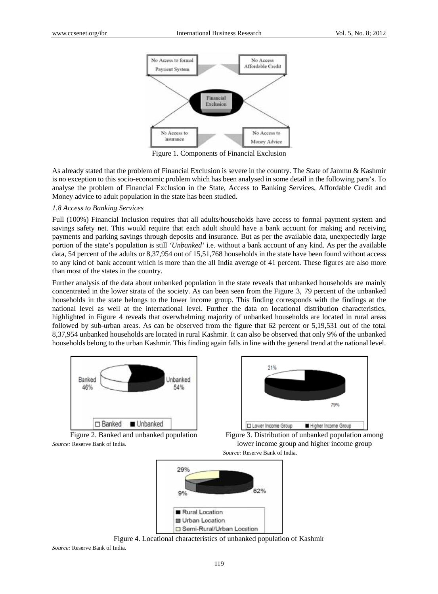

Figure 1. Components of Financial Exclusion

As already stated that the problem of Financial Exclusion is severe in the country. The State of Jammu & Kashmir is no exception to this socio-economic problem which has been analysed in some detail in the following para's. To analyse the problem of Financial Exclusion in the State, Access to Banking Services, Affordable Credit and Money advice to adult population in the state has been studied.

#### *1.8 Access s to Banking Se ervices*

Full (100%) Financial Inclusion requires that all adults/households have access to formal payment system and savings safety net. This would require that each adult should have a bank account for making and receiving payments and parking savings through deposits and insurance. But as per the available data, unexpectedly large portion of the state's population is still 'Unbanked' i.e. without a bank account of any kind. As per the available data, 54 percent of the adults or 8,37,954 out of 15,51,768 households in the state have been found without access to any kind of bank account which is more than the all India average of 41 percent. These figures are also more than most of the states in the country.

Further analysis of the data about unbanked population in the state reveals that unbanked households are mainly concentrated in the lower strata of the society. As can been seen from the Figure 3, 79 percent of the unbanked households in the state belongs to the lower income group. This finding corresponds with the findings at the national level as well at the international level. Further the data on locational distribution characteristics, highlighted in Figure 4 reveals that overwhelming majority of unbanked households are located in rural areas followed by sub-urban areas. As can be observed from the figure that 62 percent or 5,19,531 out of the total 8,37,954 unbanked households are located in rural Kashmir. It can also be observed that only 9% of the unbanked households belong to the urban Kashmir. This finding again falls in line with the general trend at the national level.











Figure 4. Locational characteristics of unbanked population of Kashmir

Source: Reserve Bank of India.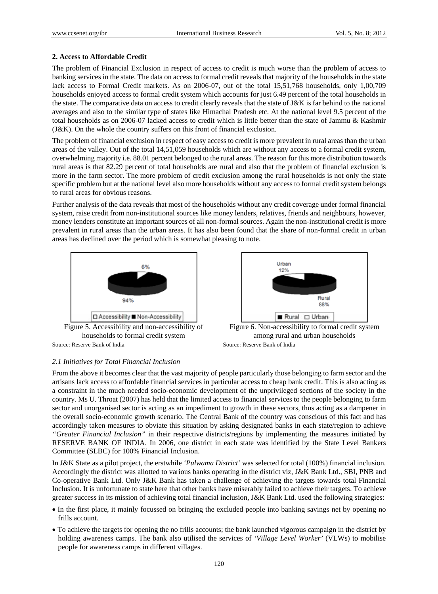#### **2. Access to Affordable Credit**

The problem of Financial Exclusion in respect of access to credit is much worse than the problem of access to banking services in the state. The data on access to formal credit reveals that majority of the households in the state lack access to Formal Credit markets. As on 2006-07, out of the total 15,51,768 households, only 1,00,709 households enjoyed access to formal credit system which accounts for just 6.49 percent of the total households in the state. The comparative data on access to credit clearly reveals that the state of  $J\&K$  is far behind to the national averages and also to the similar type of states like Himachal Pradesh etc. At the national level 9.5 percent of the total households as on 2006-07 lacked access to credit which is little better than the state of Jammu & Kashmir (J&K). On the whole the country suffers on this front of financial exclusion.

The problem of financial exclusion in respect of easy access to credit is more prevalent in rural areas than the urban areas of the valley. Out of the total 14,51,059 households which are without any access to a formal credit system, overwhelming majority i.e. 88.01 percent belonged to the rural areas. The reason for this more distribution towards rural areas is that 82.29 percent of total households are rural and also that the problem of financial exclusion is more in the farm sector. The more problem of credit exclusion among the rural households is not only the state specific problem but at the national level also more households without any access to formal credit system belongs to rural areas for obvious reasons.

Further analysis of the data reveals that most of the households without any credit coverage under formal financial system, raise credit from non-institutional sources like money lenders, relatives, friends and neighbours, however, money lenders constitute an important sources of all non-formal sources. Again the non-institutional credit is more prevalent in rural areas than the urban areas. It has also been found that the share of non-formal credit in urban areas has declined over the period which is somewhat pleasing to note.



Figure 5. Accessibility and non-accessibility of households to formal credit system Source: Reserve Bank of India



Figure 6. Non-accessibility to formal credit system among rural and urban households Source: Reserve Bank of India

## *2.1 Initiatives for Total Financial Inclusion*

From the above it becomes clear that the vast majority of people particularly those belonging to farm sector and the artisans lack access to affordable financial services in particular access to cheap bank credit. This is also acting as a constraint in the much needed socio-economic development of the unprivileged sections of the society in the country. Ms U. Throat (2007) has held that the limited access to financial services to the people belonging to farm sector and unorganised sector is acting as an impediment to growth in these sectors, thus acting as a dampener in the overall socio-economic growth scenario. The Central Bank of the country was conscious of this fact and has accordingly taken measures to obviate this situation by asking designated banks in each state/region to achieve *"Greater Financial Inclusion"* in their respective districts/regions by implementing the measures initiated by RESERVE BANK OF INDIA. In 2006, one district in each state was identified by the State Level Bankers Committee (SLBC) for 100% Financial Inclusion.

In J&K State as a pilot project, the erstwhile *'Pulwama District'* was selected for total (100%) financial inclusion. Accordingly the district was allotted to various banks operating in the district viz, J&K Bank Ltd., SBI, PNB and Co-operative Bank Ltd. Only J&K Bank has taken a challenge of achieving the targets towards total Financial Inclusion. It is unfortunate to state here that other banks have miserably failed to achieve their targets. To achieve greater success in its mission of achieving total financial inclusion, J&K Bank Ltd. used the following strategies:

- In the first place, it mainly focussed on bringing the excluded people into banking savings net by opening no frills account.
- To achieve the targets for opening the no frills accounts; the bank launched vigorous campaign in the district by holding awareness camps. The bank also utilised the services of *'Village Level Worker'* (VLWs) to mobilise people for awareness camps in different villages.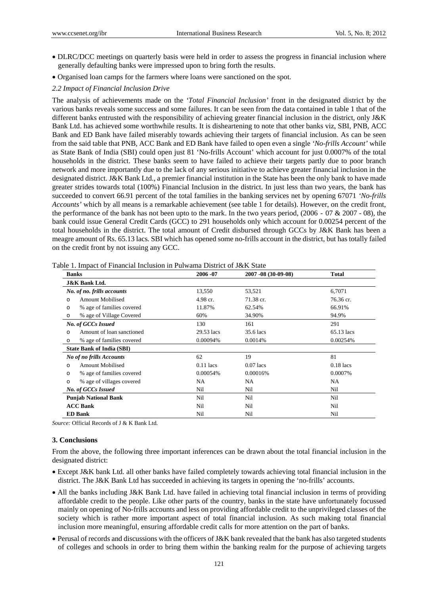- DLRC/DCC meetings on quarterly basis were held in order to assess the progress in financial inclusion where generally defaulting banks were impressed upon to bring forth the results.
- Organised loan camps for the farmers where loans were sanctioned on the spot.

#### *2.2 Impact of Financial Inclusion Drive*

The analysis of achievements made on the *'Total Financial Inclusion'* front in the designated district by the various banks reveals some success and some failures. It can be seen from the data contained in table 1 that of the different banks entrusted with the responsibility of achieving greater financial inclusion in the district, only J&K Bank Ltd. has achieved some worthwhile results. It is disheartening to note that other banks viz, SBI, PNB, ACC Bank and ED Bank have failed miserably towards achieving their targets of financial inclusion. As can be seen from the said table that PNB, ACC Bank and ED Bank have failed to open even a single *'No-frills Account'* while as State Bank of India (SBI) could open just 81 'No-frills Account' which account for just 0.0007% of the total households in the district. These banks seem to have failed to achieve their targets partly due to poor branch network and more importantly due to the lack of any serious initiative to achieve greater financial inclusion in the designated district. J&K Bank Ltd., a premier financial institution in the State has been the only bank to have made greater strides towards total (100%) Financial Inclusion in the district. In just less than two years, the bank has succeeded to convert 66.91 percent of the total families in the banking services net by opening 67071 *'No-frills Accounts'* which by all means is a remarkable achievement (see table 1 for details). However, on the credit front, the performance of the bank has not been upto to the mark. In the two years period,  $(2006 - 07 \& 2007 - 08)$ , the bank could issue General Credit Cards (GCC) to 291 households only which account for 0.00254 percent of the total households in the district. The total amount of Credit disbursed through GCCs by J&K Bank has been a meagre amount of Rs. 65.13 lacs. SBI which has opened some no-frills account in the district, but has totally failed on the credit front by not issuing any GCC.

| <b>Banks</b>                         | 2006-07     | 2007 -08 (30-09-08) | <b>Total</b> |
|--------------------------------------|-------------|---------------------|--------------|
| <b>J&amp;K Bank Ltd.</b>             |             |                     |              |
| No. of no. frills accounts           | 13,550      | 53,521              | 6,7071       |
| Amount Mobilised<br>$\circ$          | 4.98 cr.    | 71.38 cr.           | 76.36 cr.    |
| % age of families covered<br>$\circ$ | 11.87%      | 62.54%              | 66.91%       |
| % age of Village Covered<br>$\circ$  | 60%         | 34.90%              | 94.9%        |
| <b>No. of GCCs Issued</b>            | 130         | 161                 | 291          |
| Amount of loan sanctioned<br>$\circ$ | 29.53 lacs  | 35.6 lacs           | 65.13 lacs   |
| % age of families covered<br>$\circ$ | 0.00094%    | 0.0014%             | 0.00254%     |
| <b>State Bank of India (SBI)</b>     |             |                     |              |
| No of no frills Accounts             | 62          | 19                  | 81           |
| <b>Amount Mobilised</b><br>$\circ$   | $0.11$ lacs | $0.07$ lacs         | $0.18$ lacs  |
| % age of families covered<br>$\circ$ | 0.00054%    | 0.00016%            | 0.0007%      |
| % age of villages covered<br>$\circ$ | NA.         | NA.                 | <b>NA</b>    |
| No. of GCCs Issued                   | Nil         | Nil                 | Nil          |
| <b>Punjab National Bank</b>          | Nil         | Nil                 | Nil          |
| <b>ACC Bank</b>                      | Nil         | Nil                 | Nil          |
| <b>ED Bank</b>                       | Nil         | Nil                 | Nil          |

Table 1. Impact of Financial Inclusion in Pulwama District of J&K State

*Source:* Official Records of J & K Bank Ltd.

#### **3. Conclusions**

From the above, the following three important inferences can be drawn about the total financial inclusion in the designated district:

- Except J&K bank Ltd. all other banks have failed completely towards achieving total financial inclusion in the district. The J&K Bank Ltd has succeeded in achieving its targets in opening the 'no-frills' accounts.
- All the banks including J&K Bank Ltd. have failed in achieving total financial inclusion in terms of providing affordable credit to the people. Like other parts of the country, banks in the state have unfortunately focussed mainly on opening of No-frills accounts and less on providing affordable credit to the unprivileged classes of the society which is rather more important aspect of total financial inclusion. As such making total financial inclusion more meaningful, ensuring affordable credit calls for more attention on the part of banks.
- Perusal of records and discussions with the officers of J&K bank revealed that the bank has also targeted students of colleges and schools in order to bring them within the banking realm for the purpose of achieving targets